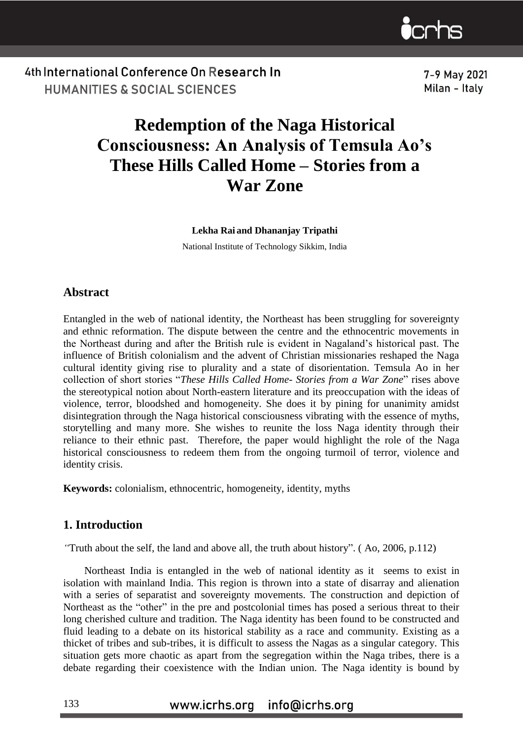

7-9 May 2021 Milan - Italy

# **Redemption of the Naga Historical Consciousness: An Analysis of Temsula Ao's These Hills Called Home – Stories from a War Zone**

#### **Lekha Rai and Dhananjay Tripathi**

National Institute of Technology Sikkim, India

#### **Abstract**

Entangled in the web of national identity, the Northeast has been struggling for sovereignty and ethnic reformation. The dispute between the centre and the ethnocentric movements in the Northeast during and after the British rule is evident in Nagaland's historical past. The influence of British colonialism and the advent of Christian missionaries reshaped the Naga cultural identity giving rise to plurality and a state of disorientation. Temsula Ao in her collection of short stories "*These Hills Called Home- Stories from a War Zone*" rises above the stereotypical notion about North-eastern literature and its preoccupation with the ideas of violence, terror, bloodshed and homogeneity. She does it by pining for unanimity amidst disintegration through the Naga historical consciousness vibrating with the essence of myths, storytelling and many more. She wishes to reunite the loss Naga identity through their reliance to their ethnic past. Therefore, the paper would highlight the role of the Naga historical consciousness to redeem them from the ongoing turmoil of terror, violence and identity crisis.

**Keywords:** colonialism, ethnocentric, homogeneity, identity, myths

### **1. Introduction**

*"*Truth about the self, the land and above all, the truth about history". ( Ao, 2006, p.112)

 Northeast India is entangled in the web of national identity as it seems to exist in isolation with mainland India. This region is thrown into a state of disarray and alienation with a series of separatist and sovereignty movements. The construction and depiction of Northeast as the "other" in the pre and postcolonial times has posed a serious threat to their long cherished culture and tradition. The Naga identity has been found to be constructed and fluid leading to a debate on its historical stability as a race and community. Existing as a thicket of tribes and sub-tribes, it is difficult to assess the Nagas as a singular category. This situation gets more chaotic as apart from the segregation within the Naga tribes, there is a debate regarding their coexistence with the Indian union. The Naga identity is bound by

#### www.icrhs.org info@icrhs.org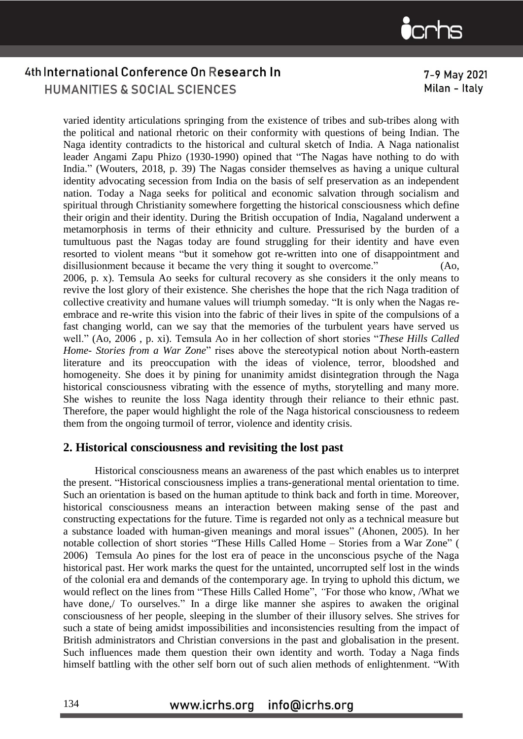

7-9 May 2021 Milan - Italy

varied identity articulations springing from the existence of tribes and sub-tribes along with the political and national rhetoric on their conformity with questions of being Indian. The Naga identity contradicts to the historical and cultural sketch of India. A Naga nationalist leader Angami Zapu Phizo (1930-1990) opined that "The Nagas have nothing to do with India." (Wouters, 2018, p. 39) The Nagas consider themselves as having a unique cultural identity advocating secession from India on the basis of self preservation as an independent nation. Today a Naga seeks for political and economic salvation through socialism and spiritual through Christianity somewhere forgetting the historical consciousness which define their origin and their identity. During the British occupation of India, Nagaland underwent a metamorphosis in terms of their ethnicity and culture. Pressurised by the burden of a tumultuous past the Nagas today are found struggling for their identity and have even resorted to violent means "but it somehow got re-written into one of disappointment and disillusionment because it became the very thing it sought to overcome." (Ao, 2006, p. x). Temsula Ao seeks for cultural recovery as she considers it the only means to revive the lost glory of their existence. She cherishes the hope that the rich Naga tradition of collective creativity and humane values will triumph someday. "It is only when the Nagas reembrace and re-write this vision into the fabric of their lives in spite of the compulsions of a fast changing world, can we say that the memories of the turbulent years have served us well." (Ao, 2006 , p. xi). Temsula Ao in her collection of short stories "*These Hills Called Home- Stories from a War Zone*" rises above the stereotypical notion about North-eastern literature and its preoccupation with the ideas of violence, terror, bloodshed and homogeneity. She does it by pining for unanimity amidst disintegration through the Naga historical consciousness vibrating with the essence of myths, storytelling and many more. She wishes to reunite the loss Naga identity through their reliance to their ethnic past. Therefore, the paper would highlight the role of the Naga historical consciousness to redeem them from the ongoing turmoil of terror, violence and identity crisis.

### **2. Historical consciousness and revisiting the lost past**

Historical consciousness means an awareness of the past which enables us to interpret the present. "Historical consciousness implies a trans-generational mental orientation to time. Such an orientation is based on the human aptitude to think back and forth in time. Moreover, historical consciousness means an interaction between making sense of the past and constructing expectations for the future. Time is regarded not only as a technical measure but a substance loaded with human-given meanings and moral issues" (Ahonen, 2005)*.* In her notable collection of short stories "These Hills Called Home – Stories from a War Zone" ( 2006) Temsula Ao pines for the lost era of peace in the unconscious psyche of the Naga historical past. Her work marks the quest for the untainted, uncorrupted self lost in the winds of the colonial era and demands of the contemporary age. In trying to uphold this dictum, we would reflect on the lines from "These Hills Called Home", *"*For those who know, /What we have done,/ To ourselves." In a dirge like manner she aspires to awaken the original consciousness of her people, sleeping in the slumber of their illusory selves. She strives for such a state of being amidst impossibilities and inconsistencies resulting from the impact of British administrators and Christian conversions in the past and globalisation in the present. Such influences made them question their own identity and worth. Today a Naga finds himself battling with the other self born out of such alien methods of enlightenment. "With

#### www.icrhs.org info@icrhs.org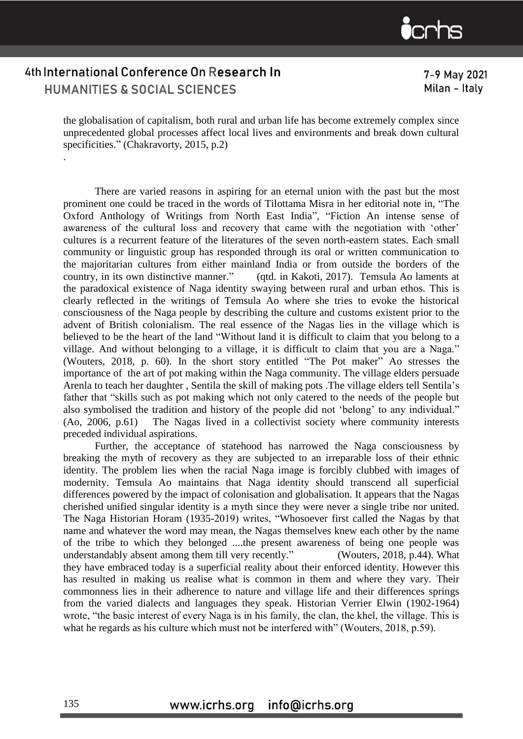

.

7-9 May 2021 Milan - Italy

the globalisation of capitalism, both rural and urban life has become extremely complex since unprecedented global processes affect local lives and environments and break down cultural specificities." (Chakravorty, 2015, p.2)

There are varied reasons in aspiring for an eternal union with the past but the most prominent one could be traced in the words of Tilottama Misra in her editorial note in, "The Oxford Anthology of Writings from North East India", "Fiction An intense sense of awareness of the cultural loss and recovery that came with the negotiation with 'other' cultures is a recurrent feature of the literatures of the seven north-eastern states. Each small community or linguistic group has responded through its oral or written communication to the majoritarian cultures from either mainland India or from outside the borders of the country, in its own distinctive manner." (qtd. in Kakoti, 2017). Temsula Ao laments at the paradoxical existence of Naga identity swaying between rural and urban ethos. This is clearly reflected in the writings of Temsula Ao where she tries to evoke the historical consciousness of the Naga people by describing the culture and customs existent prior to the advent of British colonialism. The real essence of the Nagas lies in the village which is believed to be the heart of the land "Without land it is difficult to claim that you belong to a village. And without belonging to a village, it is difficult to claim that you are a Naga." (Wouters, 2018, p. 60). In the short story entitled "The Pot maker" Ao stresses the importance of the art of pot making within the Naga community. The village elders persuade Arenla to teach her daughter , Sentila the skill of making pots .The village elders tell Sentila's father that "skills such as pot making which not only catered to the needs of the people but also symbolised the tradition and history of the people did not 'belong' to any individual." (Ao, 2006, p.61) The Nagas lived in a collectivist society where community interests preceded individual aspirations.

Further, the acceptance of statehood has narrowed the Naga consciousness by breaking the myth of recovery as they are subjected to an irreparable loss of their ethnic identity. The problem lies when the racial Naga image is forcibly clubbed with images of modernity. Temsula Ao maintains that Naga identity should transcend all superficial differences powered by the impact of colonisation and globalisation. It appears that the Nagas cherished unified singular identity is a myth since they were never a single tribe nor united. The Naga Historian Horam (1935-2019) writes, "Whosoever first called the Nagas by that name and whatever the word may mean, the Nagas themselves knew each other by the name of the tribe to which they belonged ....the present awareness of being one people was understandably absent among them till very recently." (Wouters, 2018, p.44). What they have embraced today is a superficial reality about their enforced identity. However this has resulted in making us realise what is common in them and where they vary. Their commonness lies in their adherence to nature and village life and their differences springs from the varied dialects and languages they speak. Historian Verrier Elwin (1902-1964) wrote, "the basic interest of every Naga is in his family, the clan, the khel, the village. This is what he regards as his culture which must not be interfered with" (Wouters, 2018, p.59).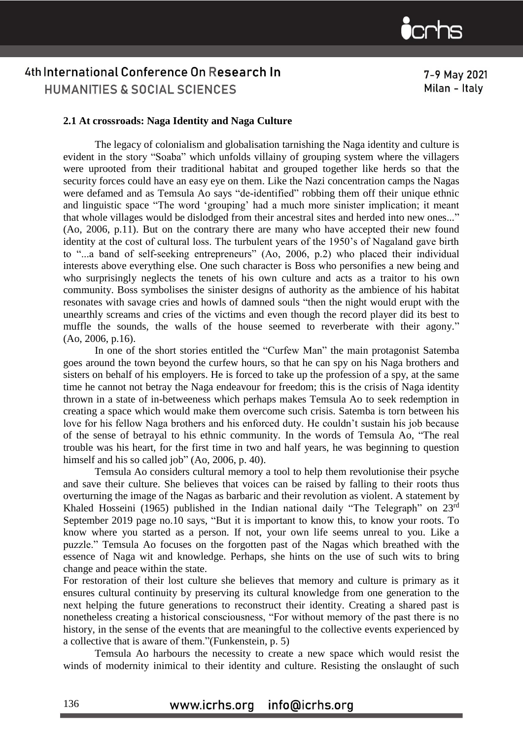

#### **2.1 At crossroads: Naga Identity and Naga Culture**

The legacy of colonialism and globalisation tarnishing the Naga identity and culture is evident in the story "Soaba" which unfolds villainy of grouping system where the villagers were uprooted from their traditional habitat and grouped together like herds so that the security forces could have an easy eye on them. Like the Nazi concentration camps the Nagas were defamed and as Temsula Ao says "de-identified" robbing them off their unique ethnic and linguistic space "The word 'grouping' had a much more sinister implication; it meant that whole villages would be dislodged from their ancestral sites and herded into new ones..." (Ao, 2006, p.11). But on the contrary there are many who have accepted their new found identity at the cost of cultural loss. The turbulent years of the 1950's of Nagaland gave birth to "...a band of self-seeking entrepreneurs" (Ao, 2006, p.2) who placed their individual interests above everything else. One such character is Boss who personifies a new being and who surprisingly neglects the tenets of his own culture and acts as a traitor to his own community. Boss symbolises the sinister designs of authority as the ambience of his habitat resonates with savage cries and howls of damned souls "then the night would erupt with the unearthly screams and cries of the victims and even though the record player did its best to muffle the sounds, the walls of the house seemed to reverberate with their agony." (Ao, 2006, p.16).

In one of the short stories entitled the "Curfew Man" the main protagonist Satemba goes around the town beyond the curfew hours, so that he can spy on his Naga brothers and sisters on behalf of his employers. He is forced to take up the profession of a spy, at the same time he cannot not betray the Naga endeavour for freedom; this is the crisis of Naga identity thrown in a state of in-betweeness which perhaps makes Temsula Ao to seek redemption in creating a space which would make them overcome such crisis. Satemba is torn between his love for his fellow Naga brothers and his enforced duty. He couldn't sustain his job because of the sense of betrayal to his ethnic community*.* In the words of Temsula Ao, "The real trouble was his heart, for the first time in two and half years, he was beginning to question himself and his so called job" (Ao, 2006, p. 40).

Temsula Ao considers cultural memory a tool to help them revolutionise their psyche and save their culture. She believes that voices can be raised by falling to their roots thus overturning the image of the Nagas as barbaric and their revolution as violent. A statement by Khaled Hosseini (1965) published in the Indian national daily "The Telegraph" on 23rd September 2019 page no.10 says, "But it is important to know this, to know your roots. To know where you started as a person. If not, your own life seems unreal to you. Like a puzzle." Temsula Ao focuses on the forgotten past of the Nagas which breathed with the essence of Naga wit and knowledge. Perhaps, she hints on the use of such wits to bring change and peace within the state.

For restoration of their lost culture she believes that memory and culture is primary as it ensures cultural continuity by preserving its cultural knowledge from one generation to the next helping the future generations to reconstruct their identity. Creating a shared past is nonetheless creating a historical consciousness, "For without memory of the past there is no history, in the sense of the events that are meaningful to the collective events experienced by a collective that is aware of them."(Funkenstein, p. 5)

Temsula Ao harbours the necessity to create a new space which would resist the winds of modernity inimical to their identity and culture. Resisting the onslaught of such

> www.icrhs.org info@icrhs.org

7-9 May 2021 Milan - Italy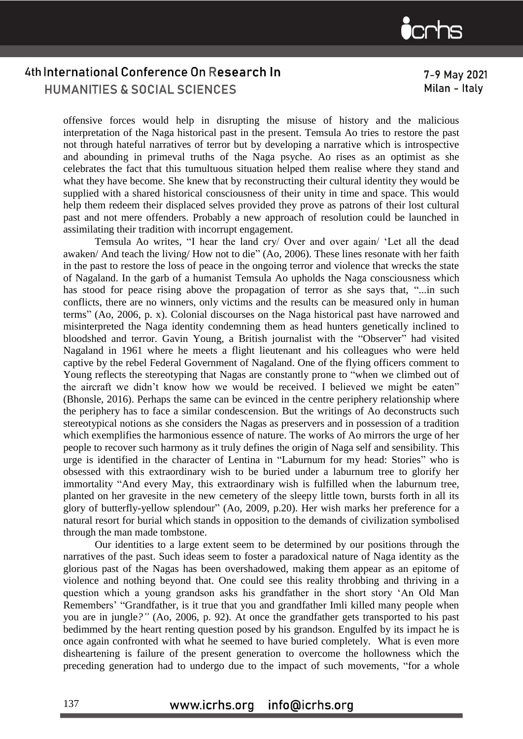

7-9 May 2021 Milan - Italy

offensive forces would help in disrupting the misuse of history and the malicious interpretation of the Naga historical past in the present. Temsula Ao tries to restore the past not through hateful narratives of terror but by developing a narrative which is introspective and abounding in primeval truths of the Naga psyche. Ao rises as an optimist as she celebrates the fact that this tumultuous situation helped them realise where they stand and what they have become. She knew that by reconstructing their cultural identity they would be supplied with a shared historical consciousness of their unity in time and space. This would help them redeem their displaced selves provided they prove as patrons of their lost cultural past and not mere offenders. Probably a new approach of resolution could be launched in assimilating their tradition with incorrupt engagement.

Temsula Ao writes, "I hear the land cry/ Over and over again/ 'Let all the dead awaken/ And teach the living/ How not to die" (Ao, 2006). These lines resonate with her faith in the past to restore the loss of peace in the ongoing terror and violence that wrecks the state of Nagaland. In the garb of a humanist Temsula Ao upholds the Naga consciousness which has stood for peace rising above the propagation of terror as she says that, "...in such conflicts, there are no winners, only victims and the results can be measured only in human terms" (Ao, 2006, p. x). Colonial discourses on the Naga historical past have narrowed and misinterpreted the Naga identity condemning them as head hunters genetically inclined to bloodshed and terror. Gavin Young, a British journalist with the "Observer" had visited Nagaland in 1961 where he meets a flight lieutenant and his colleagues who were held captive by the rebel Federal Government of Nagaland. One of the flying officers comment to Young reflects the stereotyping that Nagas are constantly prone to "when we climbed out of the aircraft we didn't know how we would be received. I believed we might be eaten" (Bhonsle, 2016). Perhaps the same can be evinced in the centre periphery relationship where the periphery has to face a similar condescension. But the writings of Ao deconstructs such stereotypical notions as she considers the Nagas as preservers and in possession of a tradition which exemplifies the harmonious essence of nature. The works of Ao mirrors the urge of her people to recover such harmony as it truly defines the origin of Naga self and sensibility. This urge is identified in the character of Lentina in "Laburnum for my head: Stories" who is obsessed with this extraordinary wish to be buried under a laburnum tree to glorify her immortality "And every May, this extraordinary wish is fulfilled when the laburnum tree, planted on her gravesite in the new cemetery of the sleepy little town, bursts forth in all its glory of butterfly-yellow splendour" (Ao, 2009, p.20). Her wish marks her preference for a natural resort for burial which stands in opposition to the demands of civilization symbolised through the man made tombstone.

Our identities to a large extent seem to be determined by our positions through the narratives of the past. Such ideas seem to foster a paradoxical nature of Naga identity as the glorious past of the Nagas has been overshadowed, making them appear as an epitome of violence and nothing beyond that. One could see this reality throbbing and thriving in a question which a young grandson asks his grandfather in the short story 'An Old Man Remembers' "Grandfather, is it true that you and grandfather Imli killed many people when you are in jungle*?"* (Ao, 2006, p. 92). At once the grandfather gets transported to his past bedimmed by the heart renting question posed by his grandson. Engulfed by its impact he is once again confronted with what he seemed to have buried completely. What is even more disheartening is failure of the present generation to overcome the hollowness which the preceding generation had to undergo due to the impact of such movements, "for a whole

#### www.icrhs.org info@icrhs.org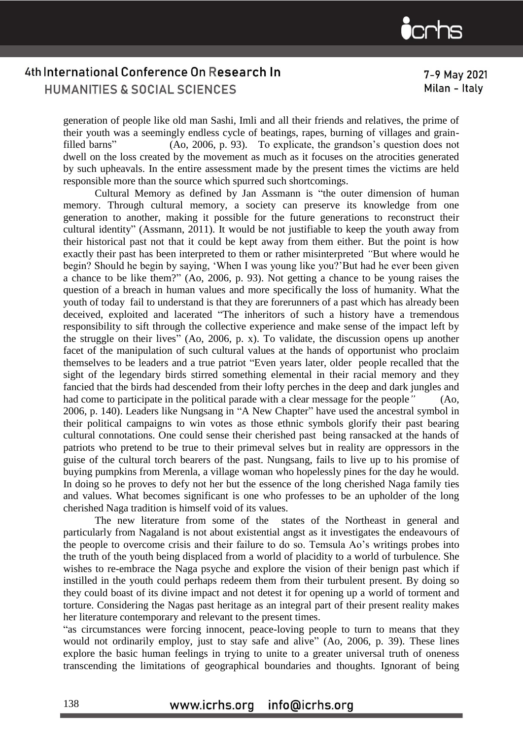

7-9 May 2021 Milan - Italy

generation of people like old man Sashi, Imli and all their friends and relatives, the prime of their youth was a seemingly endless cycle of beatings, rapes, burning of villages and grainfilled barns" (Ao, 2006, p. 93). To explicate, the grandson's question does not dwell on the loss created by the movement as much as it focuses on the atrocities generated by such upheavals. In the entire assessment made by the present times the victims are held responsible more than the source which spurred such shortcomings.

Cultural Memory as defined by Jan Assmann is "the outer dimension of human memory. Through cultural memory, a society can preserve its knowledge from one generation to another, making it possible for the future generations to reconstruct their cultural identity" (Assmann, 2011). It would be not justifiable to keep the youth away from their historical past not that it could be kept away from them either. But the point is how exactly their past has been interpreted to them or rather misinterpreted *"*But where would he begin? Should he begin by saying, 'When I was young like you?'But had he ever been given a chance to be like them?" (Ao, 2006, p. 93). Not getting a chance to be young raises the question of a breach in human values and more specifically the loss of humanity. What the youth of today fail to understand is that they are forerunners of a past which has already been deceived, exploited and lacerated "The inheritors of such a history have a tremendous responsibility to sift through the collective experience and make sense of the impact left by the struggle on their lives" (Ao, 2006, p. x). To validate, the discussion opens up another facet of the manipulation of such cultural values at the hands of opportunist who proclaim themselves to be leaders and a true patriot "Even years later, older people recalled that the sight of the legendary birds stirred something elemental in their racial memory and they fancied that the birds had descended from their lofty perches in the deep and dark jungles and had come to participate in the political parade with a clear message for the people<sup>"</sup> (Ao, 2006, p. 140). Leaders like Nungsang in "A New Chapter" have used the ancestral symbol in their political campaigns to win votes as those ethnic symbols glorify their past bearing cultural connotations. One could sense their cherished past being ransacked at the hands of patriots who pretend to be true to their primeval selves but in reality are oppressors in the guise of the cultural torch bearers of the past. Nungsang, fails to live up to his promise of buying pumpkins from Merenla, a village woman who hopelessly pines for the day he would. In doing so he proves to defy not her but the essence of the long cherished Naga family ties and values. What becomes significant is one who professes to be an upholder of the long cherished Naga tradition is himself void of its values.

The new literature from some of the states of the Northeast in general and particularly from Nagaland is not about existential angst as it investigates the endeavours of the people to overcome crisis and their failure to do so. Temsula Ao's writings probes into the truth of the youth being displaced from a world of placidity to a world of turbulence. She wishes to re-embrace the Naga psyche and explore the vision of their benign past which if instilled in the youth could perhaps redeem them from their turbulent present. By doing so they could boast of its divine impact and not detest it for opening up a world of torment and torture. Considering the Nagas past heritage as an integral part of their present reality makes her literature contemporary and relevant to the present times.

"as circumstances were forcing innocent, peace-loving people to turn to means that they would not ordinarily employ, just to stay safe and alive" (Ao, 2006, p. 39). These lines explore the basic human feelings in trying to unite to a greater universal truth of oneness transcending the limitations of geographical boundaries and thoughts. Ignorant of being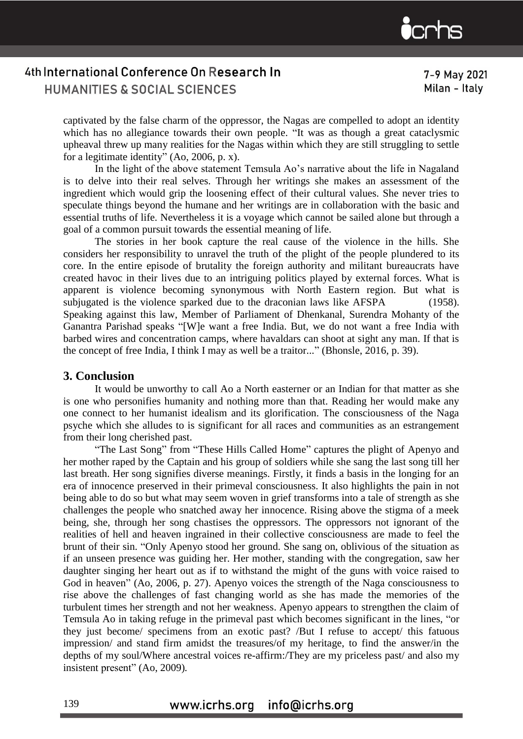

7-9 May 2021 Milan - Italy

captivated by the false charm of the oppressor, the Nagas are compelled to adopt an identity which has no allegiance towards their own people. "It was as though a great cataclysmic upheaval threw up many realities for the Nagas within which they are still struggling to settle for a legitimate identity" (Ao, 2006, p. x).

In the light of the above statement Temsula Ao's narrative about the life in Nagaland is to delve into their real selves. Through her writings she makes an assessment of the ingredient which would grip the loosening effect of their cultural values. She never tries to speculate things beyond the humane and her writings are in collaboration with the basic and essential truths of life. Nevertheless it is a voyage which cannot be sailed alone but through a goal of a common pursuit towards the essential meaning of life.

The stories in her book capture the real cause of the violence in the hills. She considers her responsibility to unravel the truth of the plight of the people plundered to its core. In the entire episode of brutality the foreign authority and militant bureaucrats have created havoc in their lives due to an intriguing politics played by external forces. What is apparent is violence becoming synonymous with North Eastern region. But what is subjugated is the violence sparked due to the draconian laws like AFSPA (1958). Speaking against this law, Member of Parliament of Dhenkanal, Surendra Mohanty of the Ganantra Parishad speaks "[W]e want a free India. But, we do not want a free India with barbed wires and concentration camps, where havaldars can shoot at sight any man. If that is the concept of free India, I think I may as well be a traitor..." (Bhonsle, 2016, p. 39).

#### **3. Conclusion**

It would be unworthy to call Ao a North easterner or an Indian for that matter as she is one who personifies humanity and nothing more than that. Reading her would make any one connect to her humanist idealism and its glorification. The consciousness of the Naga psyche which she alludes to is significant for all races and communities as an estrangement from their long cherished past.

"The Last Song" from "These Hills Called Home" captures the plight of Apenyo and her mother raped by the Captain and his group of soldiers while she sang the last song till her last breath. Her song signifies diverse meanings. Firstly, it finds a basis in the longing for an era of innocence preserved in their primeval consciousness. It also highlights the pain in not being able to do so but what may seem woven in grief transforms into a tale of strength as she challenges the people who snatched away her innocence. Rising above the stigma of a meek being, she, through her song chastises the oppressors. The oppressors not ignorant of the realities of hell and heaven ingrained in their collective consciousness are made to feel the brunt of their sin. "Only Apenyo stood her ground. She sang on, oblivious of the situation as if an unseen presence was guiding her. Her mother, standing with the congregation, saw her daughter singing her heart out as if to withstand the might of the guns with voice raised to God in heaven" (Ao, 2006, p. 27). Apenyo voices the strength of the Naga consciousness to rise above the challenges of fast changing world as she has made the memories of the turbulent times her strength and not her weakness. Apenyo appears to strengthen the claim of Temsula Ao in taking refuge in the primeval past which becomes significant in the lines, "or they just become/ specimens from an exotic past? /But I refuse to accept/ this fatuous impression/ and stand firm amidst the treasures/of my heritage, to find the answer/in the depths of my soul/Where ancestral voices re-affirm:/They are my priceless past/ and also my insistent present" (Ao, 2009)*.*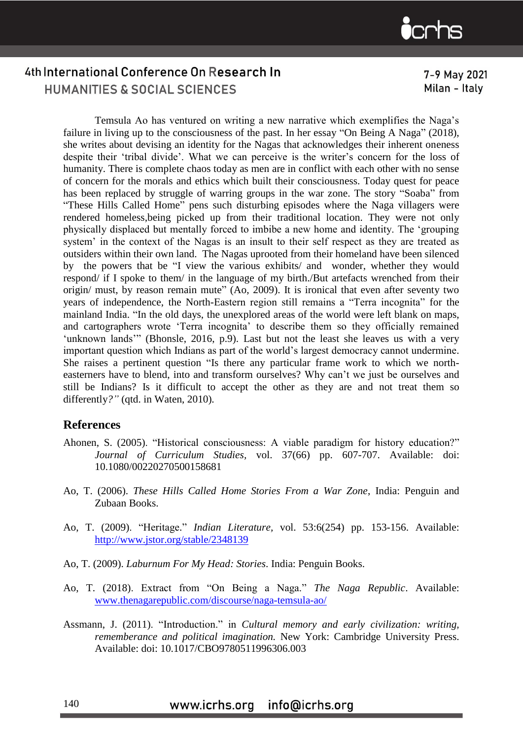

7-9 May 2021 Milan - Italy

Temsula Ao has ventured on writing a new narrative which exemplifies the Naga's failure in living up to the consciousness of the past. In her essay "On Being A Naga" (2018), she writes about devising an identity for the Nagas that acknowledges their inherent oneness despite their 'tribal divide'. What we can perceive is the writer's concern for the loss of humanity. There is complete chaos today as men are in conflict with each other with no sense of concern for the morals and ethics which built their consciousness. Today quest for peace has been replaced by struggle of warring groups in the war zone. The story "Soaba" from "These Hills Called Home" pens such disturbing episodes where the Naga villagers were rendered homeless,being picked up from their traditional location. They were not only physically displaced but mentally forced to imbibe a new home and identity. The 'grouping system' in the context of the Nagas is an insult to their self respect as they are treated as outsiders within their own land. The Nagas uprooted from their homeland have been silenced by the powers that be "I view the various exhibits/ and wonder, whether they would respond/ if I spoke to them/ in the language of my birth./But artefacts wrenched from their origin/ must, by reason remain mute" (Ao, 2009). It is ironical that even after seventy two years of independence, the North-Eastern region still remains a "Terra incognita" for the mainland India. "In the old days, the unexplored areas of the world were left blank on maps, and cartographers wrote 'Terra incognita' to describe them so they officially remained 'unknown lands'" (Bhonsle, 2016, p.9). Last but not the least she leaves us with a very important question which Indians as part of the world's largest democracy cannot undermine. She raises a pertinent question "Is there any particular frame work to which we northeasterners have to blend, into and transform ourselves? Why can't we just be ourselves and still be Indians? Is it difficult to accept the other as they are and not treat them so differently*?"* (qtd. in Waten, 2010)*.* 

### **References**

- Ahonen, S. (2005). "Historical consciousness: A viable paradigm for history education?" *Journal of Curriculum Studies,* vol. 37(66) pp. 607-707. Available: doi: 10.1080/00220270500158681
- Ao, T. (2006). *These Hills Called Home Stories From a War Zone*, India: Penguin and Zubaan Books.
- Ao, T. (2009). "Heritage." *Indian Literature,* vol. 53:6(254) pp. 153-156. Available: <http://www.jstor.org/stable/2348139>
- Ao, T. (2009). *Laburnum For My Head: Stories*. India: Penguin Books.
- Ao, T. (2018). Extract from "On Being a Naga." *The Naga Republic*. Available: [www.thenagarepublic.com/discourse/naga-temsula-ao/](http://www.thenagarepublic.com/discourse/naga-temsula-ao/)
- Assmann, J. (2011). "Introduction." in *Cultural memory and early civilization: writing, rememberance and political imagination.* New York: Cambridge University Press. Available: doi: 10.1017/CBO9780511996306.003